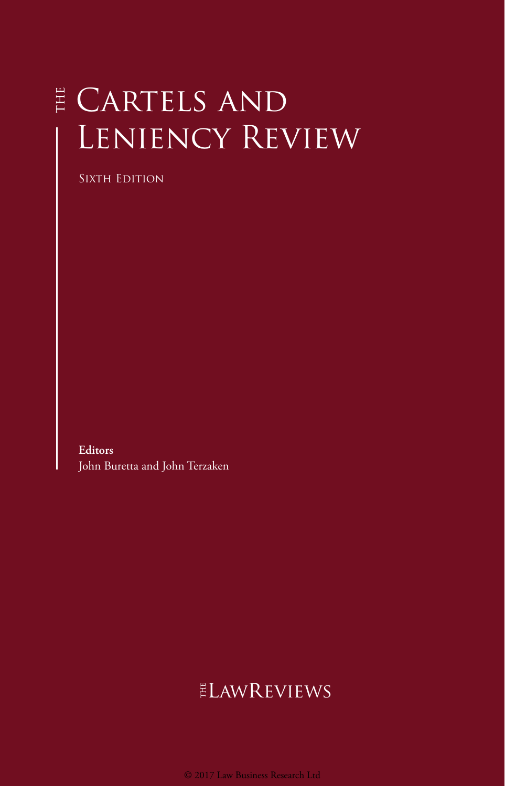# E CARTELS AND LENIENCY REVIEW

SIXTH EDITION

**Editors** John Buretta and John Terzaken

## **ELAWREVIEWS**

© 2017 Law Business Research Ltd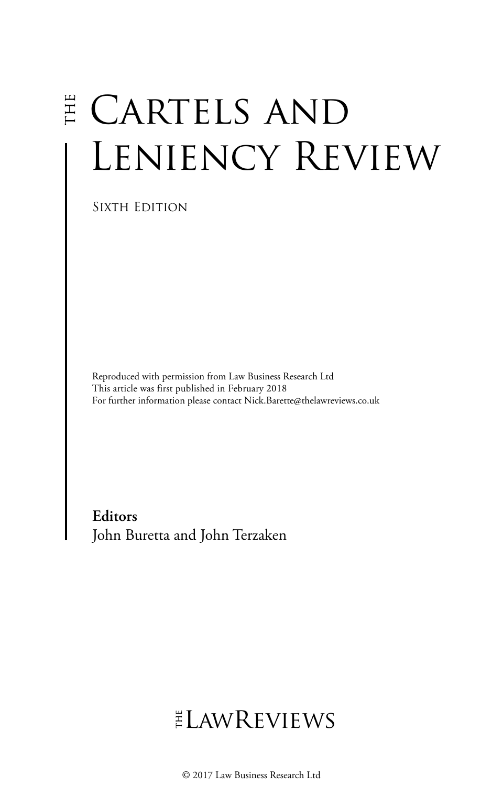# E CARTELS AND LENIENCY REVIEW

Sixth Edition

Reproduced with permission from Law Business Research Ltd This article was first published in February 2018 For further information please contact Nick.Barette@thelawreviews.co.uk

**Editors** John Buretta and John Terzaken

# $ELMR$  EVIEWS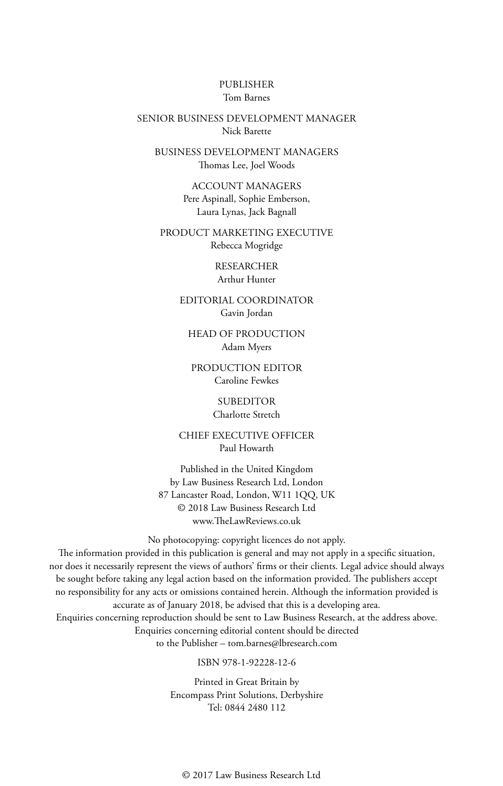#### PUBLISHER Tom Barnes

#### SENIOR BUSINESS DEVELOPMENT MANAGER Nick Barette

BUSINESS DEVELOPMENT MANAGERS Thomas Lee, Joel Woods

> ACCOUNT MANAGERS Pere Aspinall, Sophie Emberson, Laura Lynas, Jack Bagnall

PRODUCT MARKETING EXECUTIVE Rebecca Mogridge

> RESEARCHER Arthur Hunter

EDITORIAL COORDINATOR Gavin Jordan

HEAD OF PRODUCTION Adam Myers

PRODUCTION EDITOR Caroline Fewkes

> SUBEDITOR Charlotte Stretch

CHIEF EXECUTIVE OFFICER Paul Howarth

Published in the United Kingdom by Law Business Research Ltd, London 87 Lancaster Road, London, W11 1QQ, UK © 2018 Law Business Research Ltd www.TheLawReviews.co.uk

No photocopying: copyright licences do not apply.

The information provided in this publication is general and may not apply in a specific situation, nor does it necessarily represent the views of authors' firms or their clients. Legal advice should always be sought before taking any legal action based on the information provided. The publishers accept no responsibility for any acts or omissions contained herein. Although the information provided is accurate as of January 2018, be advised that this is a developing area.

Enquiries concerning reproduction should be sent to Law Business Research, at the address above. Enquiries concerning editorial content should be directed to the Publisher – tom.barnes@lbresearch.com

#### ISBN 978-1-92228-12-6

Printed in Great Britain by Encompass Print Solutions, Derbyshire Tel: 0844 2480 112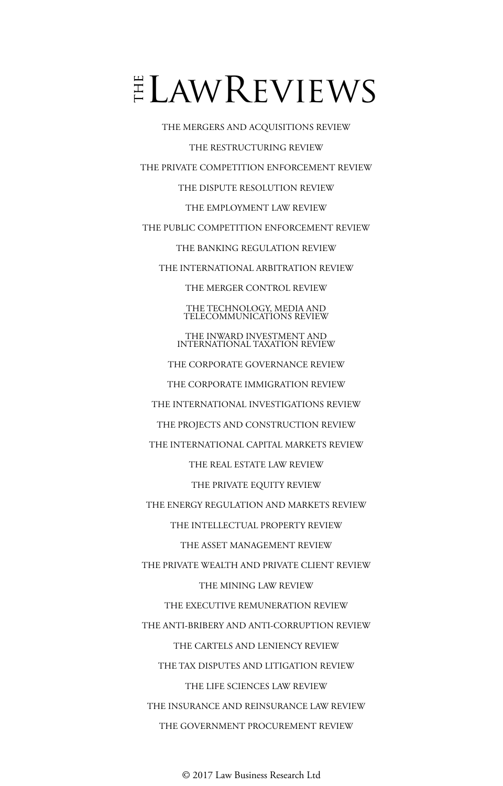# $E$ LAWREVIEWS

THE MERGERS AND ACQUISITIONS REVIEW THE RESTRUCTURING REVIEW THE PRIVATE COMPETITION ENFORCEMENT REVIEW THE DISPUTE RESOLUTION REVIEW THE EMPLOYMENT LAW REVIEW THE PUBLIC COMPETITION ENFORCEMENT REVIEW THE BANKING REGULATION REVIEW THE INTERNATIONAL ARBITRATION REVIEW THE MERGER CONTROL REVIEW THE TECHNOLOGY, MEDIA AND TELECOMMUNICATIONS REVIEW THE INWARD INVESTMENT AND INTERNATIONAL TAXATION REVIEW THE CORPORATE GOVERNANCE REVIEW THE CORPORATE IMMIGRATION REVIEW THE INTERNATIONAL INVESTIGATIONS REVIEW THE PROJECTS AND CONSTRUCTION REVIEW THE INTERNATIONAL CAPITAL MARKETS REVIEW THE REAL ESTATE LAW REVIEW THE PRIVATE EQUITY REVIEW THE ENERGY REGULATION AND MARKETS REVIEW THE INTELLECTUAL PROPERTY REVIEW THE ASSET MANAGEMENT REVIEW THE PRIVATE WEALTH AND PRIVATE CLIENT REVIEW THE MINING LAW REVIEW THE EXECUTIVE REMUNERATION REVIEW THE ANTI-BRIBERY AND ANTI-CORRUPTION REVIEW THE CARTELS AND LENIENCY REVIEW THE TAX DISPUTES AND LITIGATION REVIEW THE LIFE SCIENCES LAW REVIEW THE INSURANCE AND REINSURANCE LAW REVIEW THE GOVERNMENT PROCUREMENT REVIEW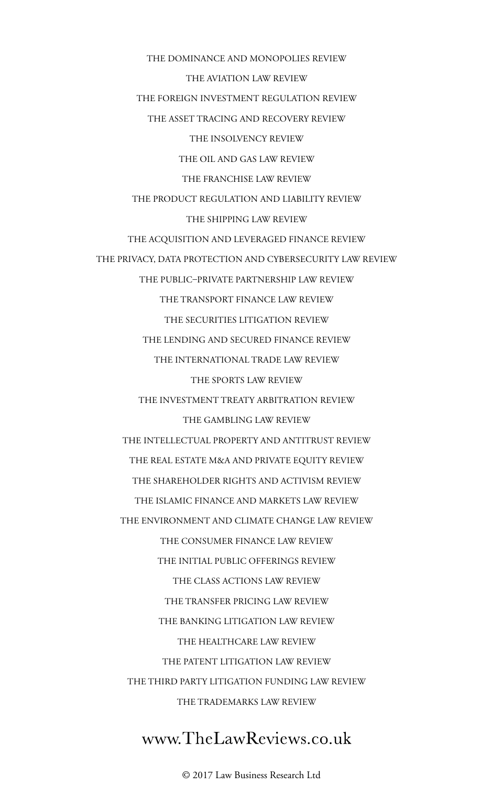THE DOMINANCE AND MONOPOLIES REVIEW THE AVIATION LAW REVIEW THE FOREIGN INVESTMENT REGULATION REVIEW THE ASSET TRACING AND RECOVERY REVIEW THE INSOLVENCY REVIEW THE OIL AND GAS LAW REVIEW THE FRANCHISE LAW REVIEW THE PRODUCT REGULATION AND LIABILITY REVIEW THE SHIPPING LAW REVIEW THE ACQUISITION AND LEVERAGED FINANCE REVIEW THE PRIVACY, DATA PROTECTION AND CYBERSECURITY LAW REVIEW THE PUBLIC–PRIVATE PARTNERSHIP LAW REVIEW THE TRANSPORT FINANCE LAW REVIEW THE SECURITIES LITIGATION REVIEW THE LENDING AND SECURED FINANCE REVIEW THE INTERNATIONAL TRADE LAW REVIEW THE SPORTS LAW REVIEW THE INVESTMENT TREATY ARBITRATION REVIEW THE GAMBLING LAW REVIEW THE INTELLECTUAL PROPERTY AND ANTITRUST REVIEW THE REAL ESTATE M&A AND PRIVATE EQUITY REVIEW THE SHAREHOLDER RIGHTS AND ACTIVISM REVIEW THE ISLAMIC FINANCE AND MARKETS LAW REVIEW THE ENVIRONMENT AND CLIMATE CHANGE LAW REVIEW THE CONSUMER FINANCE LAW REVIEW THE INITIAL PUBLIC OFFERINGS REVIEW THE CLASS ACTIONS LAW REVIEW THE TRANSFER PRICING LAW REVIEW THE BANKING LITIGATION LAW REVIEW THE HEALTHCARE LAW REVIEW THE PATENT LITIGATION LAW REVIEW THE THIRD PARTY LITIGATION FUNDING LAW REVIEW THE TRADEMARKS LAW REVIEW

### www.TheLawReviews.co.uk

© 2017 Law Business Research Ltd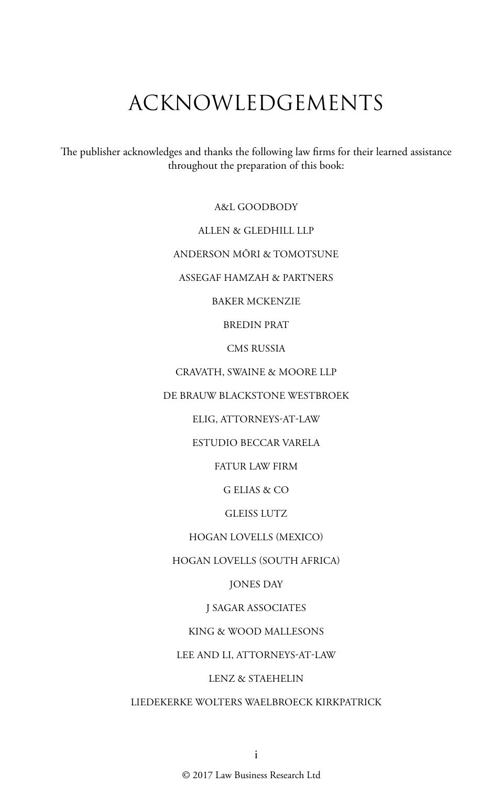# ACKNOWLEDGEMENTS

The publisher acknowledges and thanks the following law firms for their learned assistance throughout the preparation of this book:

A&L GOODBODY

ALLEN & GLEDHILL LLP

ANDERSON MŌRI & TOMOTSUNE

ASSEGAF HAMZAH & PARTNERS

BAKER MCKENZIE

BREDIN PRAT

CMS RUSSIA

CRAVATH, SWAINE & MOORE LLP

DE BRAUW BLACKSTONE WESTBROEK

ELIG, ATTORNEYS-AT-LAW

ESTUDIO BECCAR VARELA

FATUR LAW FIRM

G ELIAS & CO

GLEISS LUTZ

HOGAN LOVELLS (MEXICO)

HOGAN LOVELLS (SOUTH AFRICA)

JONES DAY

J SAGAR ASSOCIATES

KING & WOOD MALLESONS

LEE AND LI, ATTORNEYS-AT-LAW

LENZ & STAEHELIN

LIEDEKERKE WOLTERS WAELBROECK KIRKPATRICK

© 2017 Law Business Research Ltd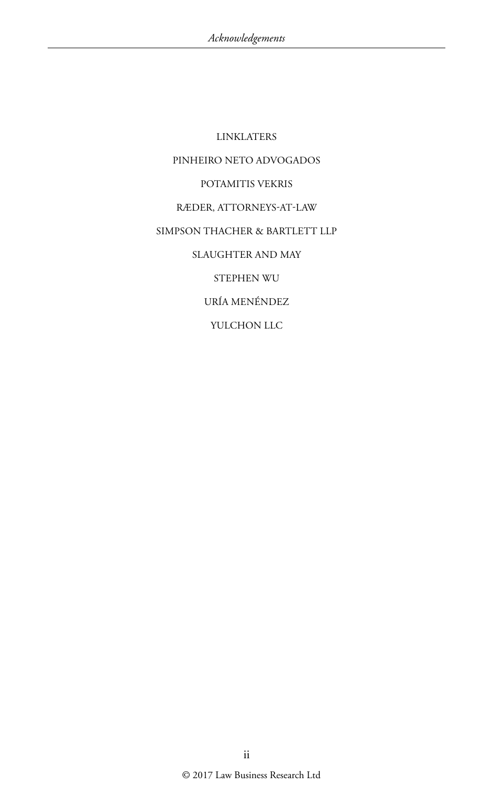LINKLATERS PINHEIRO NETO ADVOGADOS POTAMITIS VEKRIS RÆDER, ATTORNEYS-AT-LAW SIMPSON THACHER & BARTLETT LLP SLAUGHTER AND MAY STEPHEN WU URÍA MENÉNDEZ YULCHON LLC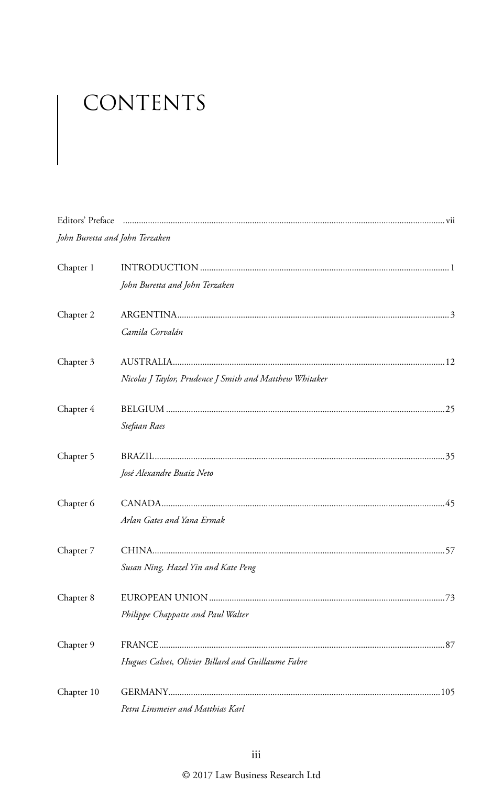# CONTENTS

| Editors' Preface |                                                         |  |
|------------------|---------------------------------------------------------|--|
|                  | John Buretta and John Terzaken                          |  |
| Chapter 1        | John Buretta and John Terzaken                          |  |
| Chapter 2        | Camila Corvalán                                         |  |
| Chapter 3        | Nicolas J Taylor, Prudence J Smith and Matthew Whitaker |  |
| Chapter 4        | Stefaan Raes                                            |  |
| Chapter 5        | José Alexandre Buaiz Neto                               |  |
| Chapter 6        | Arlan Gates and Yana Ermak                              |  |
| Chapter 7        | Susan Ning, Hazel Yin and Kate Peng                     |  |
| Chapter 8        | Philippe Chappatte and Paul Walter                      |  |
| Chapter 9        | Hugues Calvet, Olivier Billard and Guillaume Fabre      |  |
| Chapter 10       | Petra Linsmeier and Matthias Karl                       |  |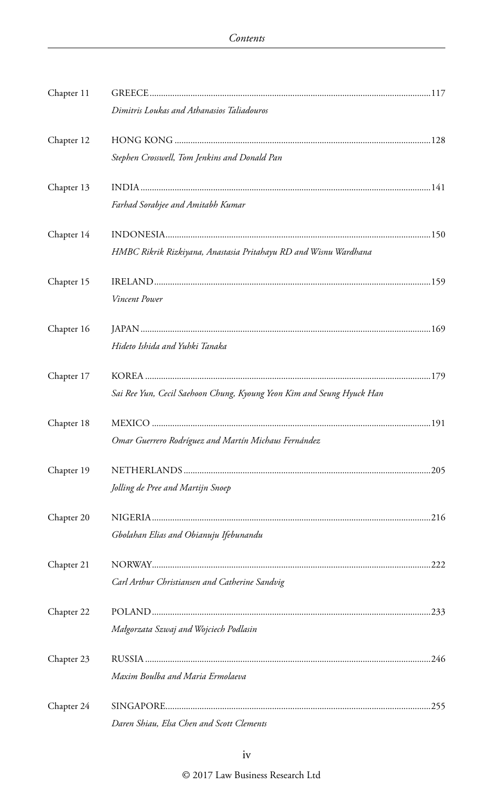| Chapter 11 |                                                                       |  |
|------------|-----------------------------------------------------------------------|--|
|            | Dimitris Loukas and Athanasios Taliadouros                            |  |
| Chapter 12 |                                                                       |  |
|            | Stephen Crosswell, Tom Jenkins and Donald Pan                         |  |
| Chapter 13 |                                                                       |  |
|            | Farhad Sorabjee and Amitabh Kumar                                     |  |
| Chapter 14 |                                                                       |  |
|            | HMBC Rikrik Rizkiyana, Anastasia Pritahayu RD and Wisnu Wardhana      |  |
| Chapter 15 |                                                                       |  |
|            | Vincent Power                                                         |  |
| Chapter 16 |                                                                       |  |
|            | Hideto Ishida and Yuhki Tanaka                                        |  |
| Chapter 17 |                                                                       |  |
|            | Sai Ree Yun, Cecil Saehoon Chung, Kyoung Yeon Kim and Seung Hyuck Han |  |
| Chapter 18 |                                                                       |  |
|            | Omar Guerrero Rodríguez and Martín Michaus Fernández                  |  |
| Chapter 19 |                                                                       |  |
|            | Jolling de Pree and Martijn Snoep                                     |  |
| Chapter 20 |                                                                       |  |
|            | Gbolahan Elias and Obianuju Ifebunandu                                |  |
| Chapter 21 |                                                                       |  |
|            | Carl Arthur Christiansen and Catherine Sandvig                        |  |
| Chapter 22 |                                                                       |  |
|            | Małgorzata Szwaj and Wojciech Podlasin                                |  |
| Chapter 23 |                                                                       |  |
|            | Maxim Boulba and Maria Ermolaeva                                      |  |
| Chapter 24 |                                                                       |  |
|            | Daren Shiau, Elsa Chen and Scott Clements                             |  |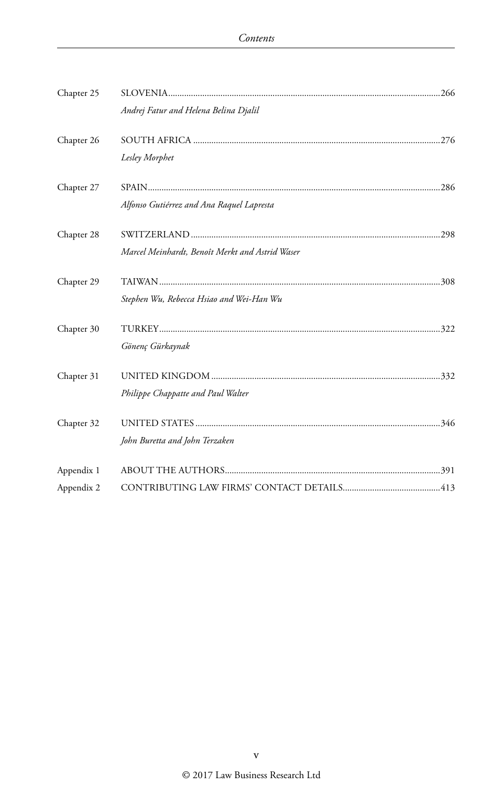| Chapter 25 | Andrej Fatur and Helena Belina Djalil           |  |
|------------|-------------------------------------------------|--|
| Chapter 26 |                                                 |  |
|            | Lesley Morphet                                  |  |
| Chapter 27 |                                                 |  |
|            | Alfonso Gutiérrez and Ana Raquel Lapresta       |  |
| Chapter 28 |                                                 |  |
|            | Marcel Meinhardt, Benoît Merkt and Astrid Waser |  |
| Chapter 29 |                                                 |  |
|            | Stephen Wu, Rebecca Hsiao and Wei-Han Wu        |  |
| Chapter 30 |                                                 |  |
|            | Gönenç Gürkaynak                                |  |
| Chapter 31 |                                                 |  |
|            | Philippe Chappatte and Paul Walter              |  |
| Chapter 32 |                                                 |  |
|            | John Buretta and John Terzaken                  |  |
| Appendix 1 |                                                 |  |
| Appendix 2 |                                                 |  |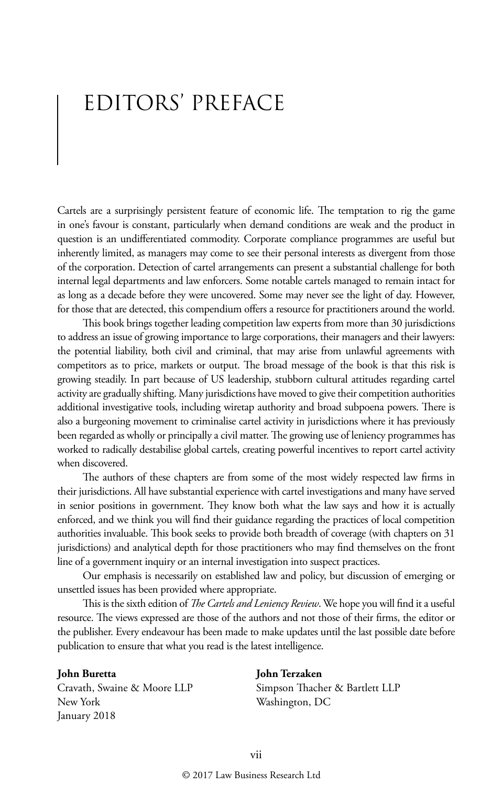## EDITORS' PREFACE

Cartels are a surprisingly persistent feature of economic life. The temptation to rig the game in one's favour is constant, particularly when demand conditions are weak and the product in question is an undifferentiated commodity. Corporate compliance programmes are useful but inherently limited, as managers may come to see their personal interests as divergent from those of the corporation. Detection of cartel arrangements can present a substantial challenge for both internal legal departments and law enforcers. Some notable cartels managed to remain intact for as long as a decade before they were uncovered. Some may never see the light of day. However, for those that are detected, this compendium offers a resource for practitioners around the world.

This book brings together leading competition law experts from more than 30 jurisdictions to address an issue of growing importance to large corporations, their managers and their lawyers: the potential liability, both civil and criminal, that may arise from unlawful agreements with competitors as to price, markets or output. The broad message of the book is that this risk is growing steadily. In part because of US leadership, stubborn cultural attitudes regarding cartel activity are gradually shifting. Many jurisdictions have moved to give their competition authorities additional investigative tools, including wiretap authority and broad subpoena powers. There is also a burgeoning movement to criminalise cartel activity in jurisdictions where it has previously been regarded as wholly or principally a civil matter. The growing use of leniency programmes has worked to radically destabilise global cartels, creating powerful incentives to report cartel activity when discovered.

The authors of these chapters are from some of the most widely respected law firms in their jurisdictions. All have substantial experience with cartel investigations and many have served in senior positions in government. They know both what the law says and how it is actually enforced, and we think you will find their guidance regarding the practices of local competition authorities invaluable. This book seeks to provide both breadth of coverage (with chapters on 31 jurisdictions) and analytical depth for those practitioners who may find themselves on the front line of a government inquiry or an internal investigation into suspect practices.

Our emphasis is necessarily on established law and policy, but discussion of emerging or unsettled issues has been provided where appropriate.

This is the sixth edition of *The Cartels and Leniency Review*. We hope you will find it a useful resource. The views expressed are those of the authors and not those of their firms, the editor or the publisher. Every endeavour has been made to make updates until the last possible date before publication to ensure that what you read is the latest intelligence.

Cravath, Swaine & Moore LLP Simpson Thacher & Bartlett LLP New York Washington, DC January 2018

#### **John Buretta John Terzaken**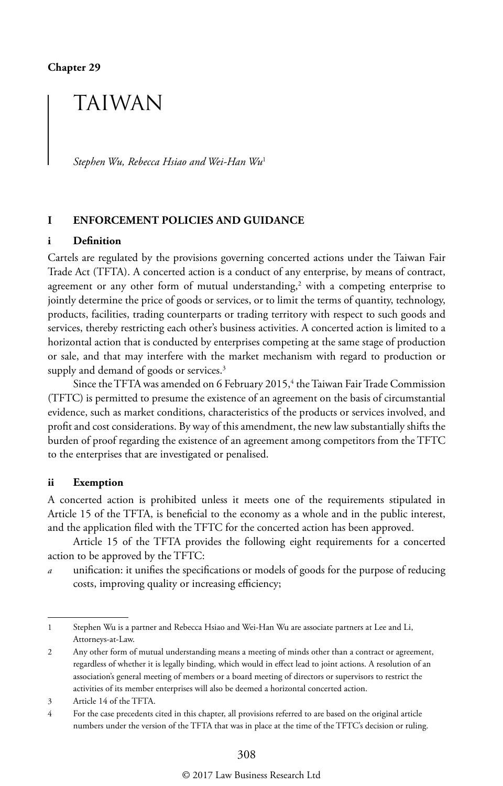## TAIWAN

*Stephen Wu, Rebecca Hsiao and Wei-Han Wu*<sup>1</sup>

#### **I ENFORCEMENT POLICIES AND GUIDANCE**

#### **i Definition**

Cartels are regulated by the provisions governing concerted actions under the Taiwan Fair Trade Act (TFTA). A concerted action is a conduct of any enterprise, by means of contract, agreement or any other form of mutual understanding, $^2$  with a competing enterprise to jointly determine the price of goods or services, or to limit the terms of quantity, technology, products, facilities, trading counterparts or trading territory with respect to such goods and services, thereby restricting each other's business activities. A concerted action is limited to a horizontal action that is conducted by enterprises competing at the same stage of production or sale, and that may interfere with the market mechanism with regard to production or supply and demand of goods or services.<sup>3</sup>

Since the TFTA was amended on 6 February 2015,<sup>4</sup> the Taiwan Fair Trade Commission (TFTC) is permitted to presume the existence of an agreement on the basis of circumstantial evidence, such as market conditions, characteristics of the products or services involved, and profit and cost considerations. By way of this amendment, the new law substantially shifts the burden of proof regarding the existence of an agreement among competitors from the TFTC to the enterprises that are investigated or penalised.

#### **ii Exemption**

A concerted action is prohibited unless it meets one of the requirements stipulated in Article 15 of the TFTA, is beneficial to the economy as a whole and in the public interest, and the application filed with the TFTC for the concerted action has been approved.

Article 15 of the TFTA provides the following eight requirements for a concerted action to be approved by the TFTC:

*a* unification: it unifies the specifications or models of goods for the purpose of reducing costs, improving quality or increasing efficiency;

<sup>1</sup> Stephen Wu is a partner and Rebecca Hsiao and Wei-Han Wu are associate partners at Lee and Li, Attorneys-at-Law.

<sup>2</sup> Any other form of mutual understanding means a meeting of minds other than a contract or agreement, regardless of whether it is legally binding, which would in effect lead to joint actions. A resolution of an association's general meeting of members or a board meeting of directors or supervisors to restrict the activities of its member enterprises will also be deemed a horizontal concerted action.

<sup>3</sup> Article 14 of the TFTA.

<sup>4</sup> For the case precedents cited in this chapter, all provisions referred to are based on the original article numbers under the version of the TFTA that was in place at the time of the TFTC's decision or ruling.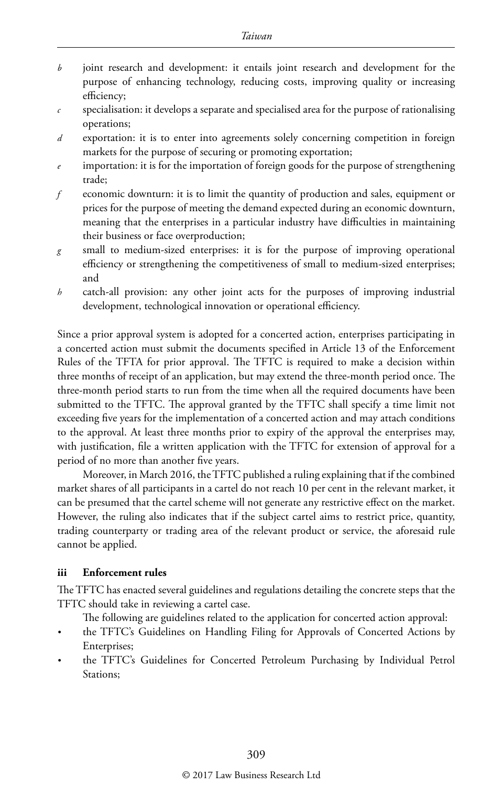- *b* joint research and development: it entails joint research and development for the purpose of enhancing technology, reducing costs, improving quality or increasing efficiency;
- *c* specialisation: it develops a separate and specialised area for the purpose of rationalising operations;
- *d* exportation: it is to enter into agreements solely concerning competition in foreign markets for the purpose of securing or promoting exportation;
- importation: it is for the importation of foreign goods for the purpose of strengthening trade;
- *f* economic downturn: it is to limit the quantity of production and sales, equipment or prices for the purpose of meeting the demand expected during an economic downturn, meaning that the enterprises in a particular industry have difficulties in maintaining their business or face overproduction;
- *g* small to medium-sized enterprises: it is for the purpose of improving operational efficiency or strengthening the competitiveness of small to medium-sized enterprises; and
- *h* catch-all provision: any other joint acts for the purposes of improving industrial development, technological innovation or operational efficiency.

Since a prior approval system is adopted for a concerted action, enterprises participating in a concerted action must submit the documents specified in Article 13 of the Enforcement Rules of the TFTA for prior approval. The TFTC is required to make a decision within three months of receipt of an application, but may extend the three-month period once. The three-month period starts to run from the time when all the required documents have been submitted to the TFTC. The approval granted by the TFTC shall specify a time limit not exceeding five years for the implementation of a concerted action and may attach conditions to the approval. At least three months prior to expiry of the approval the enterprises may, with justification, file a written application with the TFTC for extension of approval for a period of no more than another five years.

Moreover, in March 2016, the TFTC published a ruling explaining that if the combined market shares of all participants in a cartel do not reach 10 per cent in the relevant market, it can be presumed that the cartel scheme will not generate any restrictive effect on the market. However, the ruling also indicates that if the subject cartel aims to restrict price, quantity, trading counterparty or trading area of the relevant product or service, the aforesaid rule cannot be applied.

#### **iii Enforcement rules**

The TFTC has enacted several guidelines and regulations detailing the concrete steps that the TFTC should take in reviewing a cartel case.

- The following are guidelines related to the application for concerted action approval:
- *•* the TFTC's Guidelines on Handling Filing for Approvals of Concerted Actions by Enterprises;
- *•* the TFTC's Guidelines for Concerted Petroleum Purchasing by Individual Petrol Stations;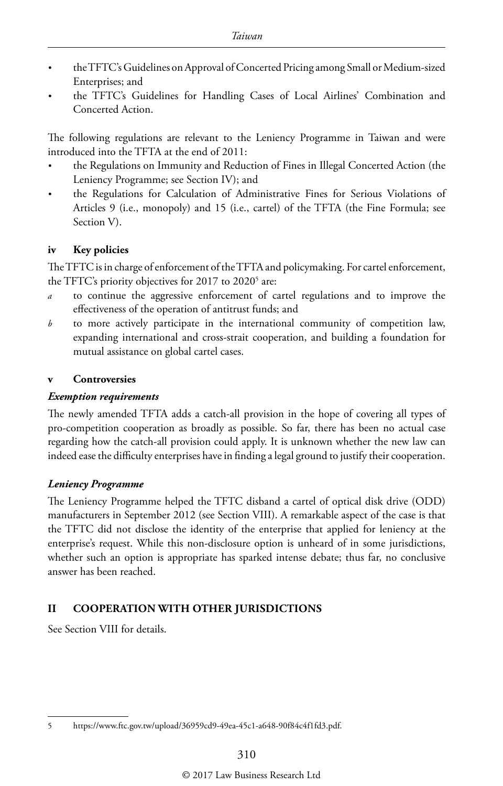- *•* the TFTC's Guidelines on Approval of Concerted Pricing among Small or Medium-sized Enterprises; and
- *•* the TFTC's Guidelines for Handling Cases of Local Airlines' Combination and Concerted Action.

The following regulations are relevant to the Leniency Programme in Taiwan and were introduced into the TFTA at the end of 2011:

- *•* the Regulations on Immunity and Reduction of Fines in Illegal Concerted Action (the Leniency Programme; see Section IV); and
- *•* the Regulations for Calculation of Administrative Fines for Serious Violations of Articles 9 (i.e., monopoly) and 15 (i.e., cartel) of the TFTA (the Fine Formula; see Section V).

#### **iv Key policies**

The TFTC is in charge of enforcement of the TFTA and policymaking. For cartel enforcement, the TFTC's priority objectives for 2017 to 2020<sup>5</sup> are:

- *a* to continue the aggressive enforcement of cartel regulations and to improve the effectiveness of the operation of antitrust funds; and
- *b* to more actively participate in the international community of competition law, expanding international and cross-strait cooperation, and building a foundation for mutual assistance on global cartel cases.

#### **v Controversies**

#### *Exemption requirements*

The newly amended TFTA adds a catch-all provision in the hope of covering all types of pro-competition cooperation as broadly as possible. So far, there has been no actual case regarding how the catch-all provision could apply. It is unknown whether the new law can indeed ease the difficulty enterprises have in finding a legal ground to justify their cooperation.

#### *Leniency Programme*

The Leniency Programme helped the TFTC disband a cartel of optical disk drive (ODD) manufacturers in September 2012 (see Section VIII). A remarkable aspect of the case is that the TFTC did not disclose the identity of the enterprise that applied for leniency at the enterprise's request. While this non-disclosure option is unheard of in some jurisdictions, whether such an option is appropriate has sparked intense debate; thus far, no conclusive answer has been reached.

#### **II COOPERATION WITH OTHER JURISDICTIONS**

See Section VIII for details.

<sup>5</sup> https://www.ftc.gov.tw/upload/36959cd9-49ea-45c1-a648-90f84c4f1fd3.pdf.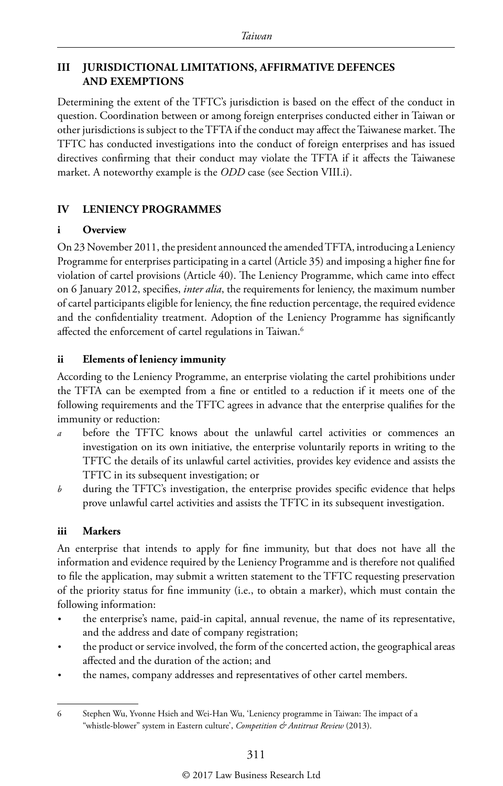#### **III JURISDICTIONAL LIMITATIONS, AFFIRMATIVE DEFENCES AND EXEMPTIONS**

Determining the extent of the TFTC's jurisdiction is based on the effect of the conduct in question. Coordination between or among foreign enterprises conducted either in Taiwan or other jurisdictions is subject to the TFTA if the conduct may affect the Taiwanese market. The TFTC has conducted investigations into the conduct of foreign enterprises and has issued directives confirming that their conduct may violate the TFTA if it affects the Taiwanese market. A noteworthy example is the *ODD* case (see Section VIII.i).

#### **IV LENIENCY PROGRAMMES**

#### **i Overview**

On 23 November 2011, the president announced the amended TFTA, introducing a Leniency Programme for enterprises participating in a cartel (Article 35) and imposing a higher fine for violation of cartel provisions (Article 40). The Leniency Programme, which came into effect on 6 January 2012, specifies, *inter alia*, the requirements for leniency, the maximum number of cartel participants eligible for leniency, the fine reduction percentage, the required evidence and the confidentiality treatment. Adoption of the Leniency Programme has significantly affected the enforcement of cartel regulations in Taiwan.<sup>6</sup>

#### **ii Elements of leniency immunity**

According to the Leniency Programme, an enterprise violating the cartel prohibitions under the TFTA can be exempted from a fine or entitled to a reduction if it meets one of the following requirements and the TFTC agrees in advance that the enterprise qualifies for the immunity or reduction:

- before the TFTC knows about the unlawful cartel activities or commences an investigation on its own initiative, the enterprise voluntarily reports in writing to the TFTC the details of its unlawful cartel activities, provides key evidence and assists the TFTC in its subsequent investigation; or
- *b* during the TFTC's investigation, the enterprise provides specific evidence that helps prove unlawful cartel activities and assists the TFTC in its subsequent investigation.

#### **iii Markers**

An enterprise that intends to apply for fine immunity, but that does not have all the information and evidence required by the Leniency Programme and is therefore not qualified to file the application, may submit a written statement to the TFTC requesting preservation of the priority status for fine immunity (i.e., to obtain a marker), which must contain the following information:

- *•* the enterprise's name, paid-in capital, annual revenue, the name of its representative, and the address and date of company registration;
- *•* the product or service involved, the form of the concerted action, the geographical areas affected and the duration of the action; and
- *•* the names, company addresses and representatives of other cartel members.

<sup>6</sup> Stephen Wu, Yvonne Hsieh and Wei-Han Wu, 'Leniency programme in Taiwan: The impact of a "whistle-blower" system in Eastern culture', *Competition & Antitrust Review* (2013).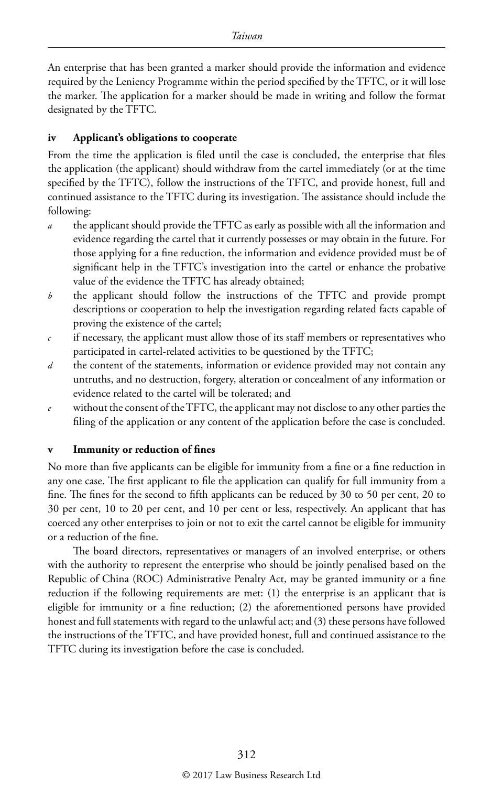An enterprise that has been granted a marker should provide the information and evidence required by the Leniency Programme within the period specified by the TFTC, or it will lose the marker. The application for a marker should be made in writing and follow the format designated by the TFTC.

#### **iv Applicant's obligations to cooperate**

From the time the application is filed until the case is concluded, the enterprise that files the application (the applicant) should withdraw from the cartel immediately (or at the time specified by the TFTC), follow the instructions of the TFTC, and provide honest, full and continued assistance to the TFTC during its investigation. The assistance should include the following:

- *a* the applicant should provide the TFTC as early as possible with all the information and evidence regarding the cartel that it currently possesses or may obtain in the future. For those applying for a fine reduction, the information and evidence provided must be of significant help in the TFTC's investigation into the cartel or enhance the probative value of the evidence the TFTC has already obtained;
- *b* the applicant should follow the instructions of the TFTC and provide prompt descriptions or cooperation to help the investigation regarding related facts capable of proving the existence of the cartel;
- *c* if necessary, the applicant must allow those of its staff members or representatives who participated in cartel-related activities to be questioned by the TFTC;
- *d* the content of the statements, information or evidence provided may not contain any untruths, and no destruction, forgery, alteration or concealment of any information or evidence related to the cartel will be tolerated; and
- without the consent of the TFTC, the applicant may not disclose to any other parties the filing of the application or any content of the application before the case is concluded.

#### **v Immunity or reduction of fines**

No more than five applicants can be eligible for immunity from a fine or a fine reduction in any one case. The first applicant to file the application can qualify for full immunity from a fine. The fines for the second to fifth applicants can be reduced by 30 to 50 per cent, 20 to 30 per cent, 10 to 20 per cent, and 10 per cent or less, respectively. An applicant that has coerced any other enterprises to join or not to exit the cartel cannot be eligible for immunity or a reduction of the fine.

The board directors, representatives or managers of an involved enterprise, or others with the authority to represent the enterprise who should be jointly penalised based on the Republic of China (ROC) Administrative Penalty Act, may be granted immunity or a fine reduction if the following requirements are met: (1) the enterprise is an applicant that is eligible for immunity or a fine reduction; (2) the aforementioned persons have provided honest and full statements with regard to the unlawful act; and (3) these persons have followed the instructions of the TFTC, and have provided honest, full and continued assistance to the TFTC during its investigation before the case is concluded.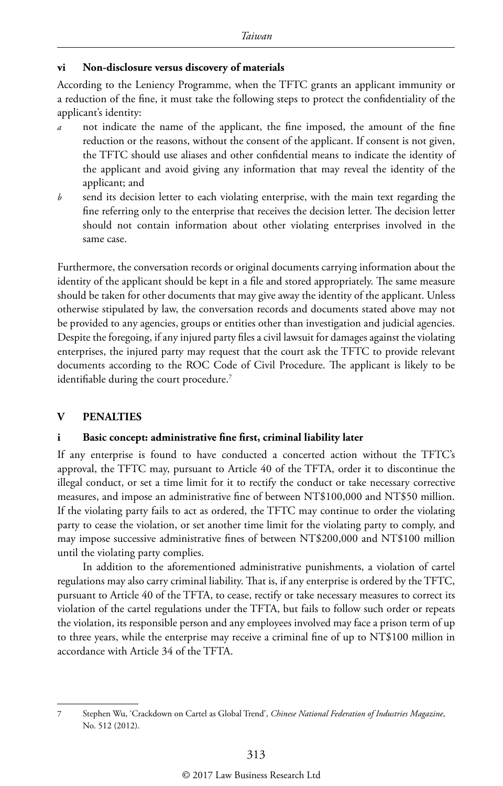#### **vi Non-disclosure versus discovery of materials**

According to the Leniency Programme, when the TFTC grants an applicant immunity or a reduction of the fine, it must take the following steps to protect the confidentiality of the applicant's identity:

- *a* not indicate the name of the applicant, the fine imposed, the amount of the fine reduction or the reasons, without the consent of the applicant. If consent is not given, the TFTC should use aliases and other confidential means to indicate the identity of the applicant and avoid giving any information that may reveal the identity of the applicant; and
- *b* send its decision letter to each violating enterprise, with the main text regarding the fine referring only to the enterprise that receives the decision letter. The decision letter should not contain information about other violating enterprises involved in the same case.

Furthermore, the conversation records or original documents carrying information about the identity of the applicant should be kept in a file and stored appropriately. The same measure should be taken for other documents that may give away the identity of the applicant. Unless otherwise stipulated by law, the conversation records and documents stated above may not be provided to any agencies, groups or entities other than investigation and judicial agencies. Despite the foregoing, if any injured party files a civil lawsuit for damages against the violating enterprises, the injured party may request that the court ask the TFTC to provide relevant documents according to the ROC Code of Civil Procedure. The applicant is likely to be identifiable during the court procedure.<sup>7</sup>

#### **V PENALTIES**

#### **i Basic concept: administrative fine first, criminal liability later**

If any enterprise is found to have conducted a concerted action without the TFTC's approval, the TFTC may, pursuant to Article 40 of the TFTA, order it to discontinue the illegal conduct, or set a time limit for it to rectify the conduct or take necessary corrective measures, and impose an administrative fine of between NT\$100,000 and NT\$50 million. If the violating party fails to act as ordered, the TFTC may continue to order the violating party to cease the violation, or set another time limit for the violating party to comply, and may impose successive administrative fines of between NT\$200,000 and NT\$100 million until the violating party complies.

In addition to the aforementioned administrative punishments, a violation of cartel regulations may also carry criminal liability. That is, if any enterprise is ordered by the TFTC, pursuant to Article 40 of the TFTA, to cease, rectify or take necessary measures to correct its violation of the cartel regulations under the TFTA, but fails to follow such order or repeats the violation, its responsible person and any employees involved may face a prison term of up to three years, while the enterprise may receive a criminal fine of up to NT\$100 million in accordance with Article 34 of the TFTA.

<sup>7</sup> Stephen Wu, 'Crackdown on Cartel as Global Trend', *Chinese National Federation of Industries Magazine*, No. 512 (2012).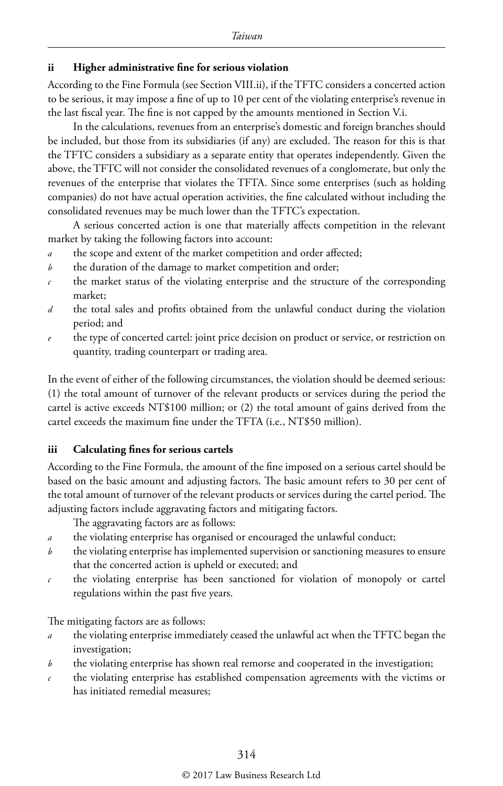#### **ii Higher administrative fine for serious violation**

According to the Fine Formula (see Section VIII.ii), if the TFTC considers a concerted action to be serious, it may impose a fine of up to 10 per cent of the violating enterprise's revenue in the last fiscal year. The fine is not capped by the amounts mentioned in Section V.i.

In the calculations, revenues from an enterprise's domestic and foreign branches should be included, but those from its subsidiaries (if any) are excluded. The reason for this is that the TFTC considers a subsidiary as a separate entity that operates independently. Given the above, the TFTC will not consider the consolidated revenues of a conglomerate, but only the revenues of the enterprise that violates the TFTA. Since some enterprises (such as holding companies) do not have actual operation activities, the fine calculated without including the consolidated revenues may be much lower than the TFTC's expectation.

A serious concerted action is one that materially affects competition in the relevant market by taking the following factors into account:

- *a* the scope and extent of the market competition and order affected;
- *b* the duration of the damage to market competition and order;
- *c* the market status of the violating enterprise and the structure of the corresponding market;
- *d* the total sales and profits obtained from the unlawful conduct during the violation period; and
- *e* the type of concerted cartel: joint price decision on product or service, or restriction on quantity, trading counterpart or trading area.

In the event of either of the following circumstances, the violation should be deemed serious: (1) the total amount of turnover of the relevant products or services during the period the cartel is active exceeds NT\$100 million; or (2) the total amount of gains derived from the cartel exceeds the maximum fine under the TFTA (i.e., NT\$50 million).

#### **iii Calculating fines for serious cartels**

According to the Fine Formula, the amount of the fine imposed on a serious cartel should be based on the basic amount and adjusting factors. The basic amount refers to 30 per cent of the total amount of turnover of the relevant products or services during the cartel period. The adjusting factors include aggravating factors and mitigating factors.

The aggravating factors are as follows:

- *a* the violating enterprise has organised or encouraged the unlawful conduct;
- *b* the violating enterprise has implemented supervision or sanctioning measures to ensure that the concerted action is upheld or executed; and
- *c* the violating enterprise has been sanctioned for violation of monopoly or cartel regulations within the past five years.

The mitigating factors are as follows:

- *a* the violating enterprise immediately ceased the unlawful act when the TFTC began the investigation;
- *b* the violating enterprise has shown real remorse and cooperated in the investigation;
- *c* the violating enterprise has established compensation agreements with the victims or has initiated remedial measures;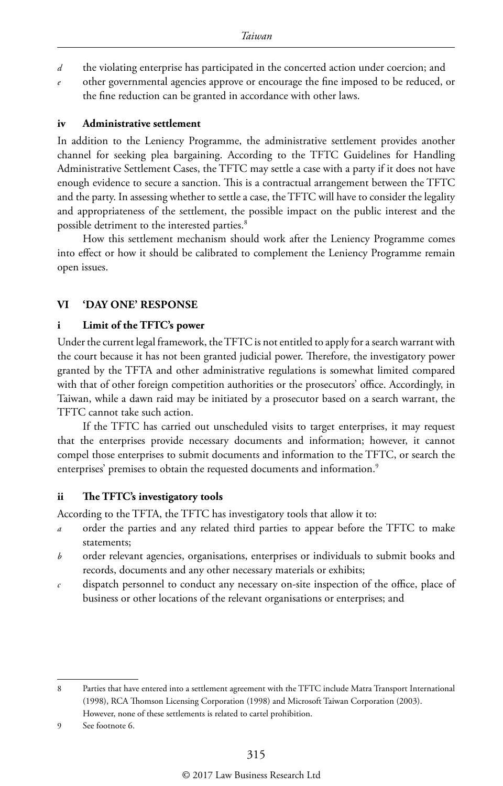- *d* the violating enterprise has participated in the concerted action under coercion; and
- other governmental agencies approve or encourage the fine imposed to be reduced, or the fine reduction can be granted in accordance with other laws.

#### **iv Administrative settlement**

In addition to the Leniency Programme, the administrative settlement provides another channel for seeking plea bargaining. According to the TFTC Guidelines for Handling Administrative Settlement Cases, the TFTC may settle a case with a party if it does not have enough evidence to secure a sanction. This is a contractual arrangement between the TFTC and the party. In assessing whether to settle a case, the TFTC will have to consider the legality and appropriateness of the settlement, the possible impact on the public interest and the possible detriment to the interested parties.<sup>8</sup>

How this settlement mechanism should work after the Leniency Programme comes into effect or how it should be calibrated to complement the Leniency Programme remain open issues.

#### **VI 'DAY ONE' RESPONSE**

#### **i Limit of the TFTC's power**

Under the current legal framework, the TFTC is not entitled to apply for a search warrant with the court because it has not been granted judicial power. Therefore, the investigatory power granted by the TFTA and other administrative regulations is somewhat limited compared with that of other foreign competition authorities or the prosecutors' office. Accordingly, in Taiwan, while a dawn raid may be initiated by a prosecutor based on a search warrant, the TFTC cannot take such action.

If the TFTC has carried out unscheduled visits to target enterprises, it may request that the enterprises provide necessary documents and information; however, it cannot compel those enterprises to submit documents and information to the TFTC, or search the enterprises' premises to obtain the requested documents and information.<sup>9</sup>

#### **ii The TFTC's investigatory tools**

According to the TFTA, the TFTC has investigatory tools that allow it to:

- *a* order the parties and any related third parties to appear before the TFTC to make statements;
- *b* order relevant agencies, organisations, enterprises or individuals to submit books and records, documents and any other necessary materials or exhibits;
- *c* dispatch personnel to conduct any necessary on-site inspection of the office, place of business or other locations of the relevant organisations or enterprises; and

9 See footnote 6.

<sup>8</sup> Parties that have entered into a settlement agreement with the TFTC include Matra Transport International (1998), RCA Thomson Licensing Corporation (1998) and Microsoft Taiwan Corporation (2003). However, none of these settlements is related to cartel prohibition.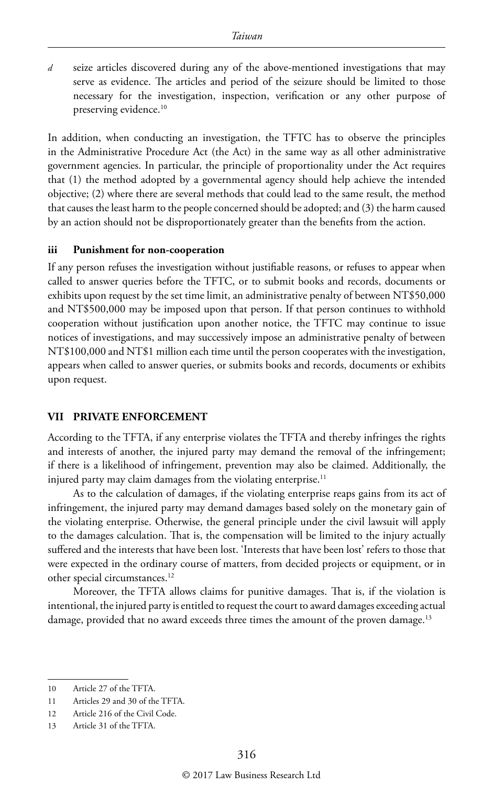*d* seize articles discovered during any of the above-mentioned investigations that may serve as evidence. The articles and period of the seizure should be limited to those necessary for the investigation, inspection, verification or any other purpose of preserving evidence.<sup>10</sup>

In addition, when conducting an investigation, the TFTC has to observe the principles in the Administrative Procedure Act (the Act) in the same way as all other administrative government agencies. In particular, the principle of proportionality under the Act requires that (1) the method adopted by a governmental agency should help achieve the intended objective; (2) where there are several methods that could lead to the same result, the method that causes the least harm to the people concerned should be adopted; and (3) the harm caused by an action should not be disproportionately greater than the benefits from the action.

#### **iii Punishment for non-cooperation**

If any person refuses the investigation without justifiable reasons, or refuses to appear when called to answer queries before the TFTC, or to submit books and records, documents or exhibits upon request by the set time limit, an administrative penalty of between NT\$50,000 and NT\$500,000 may be imposed upon that person. If that person continues to withhold cooperation without justification upon another notice, the TFTC may continue to issue notices of investigations, and may successively impose an administrative penalty of between NT\$100,000 and NT\$1 million each time until the person cooperates with the investigation, appears when called to answer queries, or submits books and records, documents or exhibits upon request.

#### **VII PRIVATE ENFORCEMENT**

According to the TFTA, if any enterprise violates the TFTA and thereby infringes the rights and interests of another, the injured party may demand the removal of the infringement; if there is a likelihood of infringement, prevention may also be claimed. Additionally, the injured party may claim damages from the violating enterprise. $11$ 

As to the calculation of damages, if the violating enterprise reaps gains from its act of infringement, the injured party may demand damages based solely on the monetary gain of the violating enterprise. Otherwise, the general principle under the civil lawsuit will apply to the damages calculation. That is, the compensation will be limited to the injury actually suffered and the interests that have been lost. 'Interests that have been lost' refers to those that were expected in the ordinary course of matters, from decided projects or equipment, or in other special circumstances.12

Moreover, the TFTA allows claims for punitive damages. That is, if the violation is intentional, the injured party is entitled to request the court to award damages exceeding actual damage, provided that no award exceeds three times the amount of the proven damage.<sup>13</sup>

<sup>10</sup> Article 27 of the TFTA.

<sup>11</sup> Articles 29 and 30 of the TFTA.

<sup>12</sup> Article 216 of the Civil Code.

<sup>13</sup> Article 31 of the TFTA.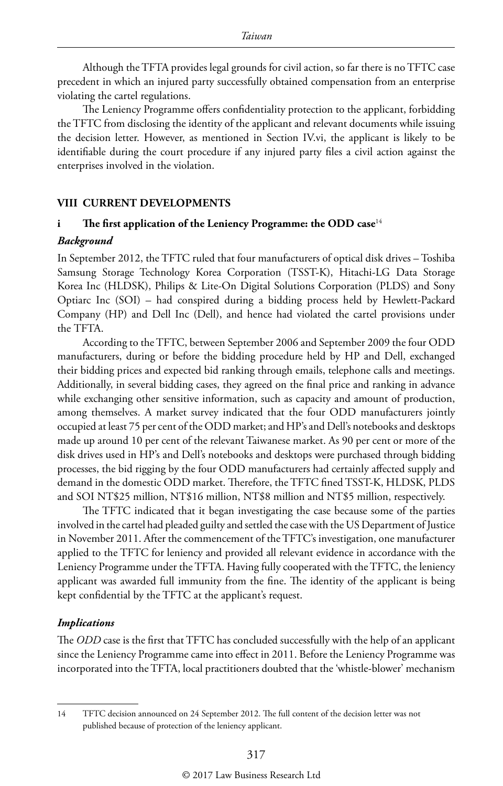Although the TFTA provides legal grounds for civil action, so far there is no TFTC case precedent in which an injured party successfully obtained compensation from an enterprise violating the cartel regulations.

The Leniency Programme offers confidentiality protection to the applicant, forbidding the TFTC from disclosing the identity of the applicant and relevant documents while issuing the decision letter. However, as mentioned in Section IV.vi, the applicant is likely to be identifiable during the court procedure if any injured party files a civil action against the enterprises involved in the violation.

#### **VIII CURRENT DEVELOPMENTS**

#### **i The first application of the Leniency Programme: the ODD case**<sup>14</sup> *Background*

In September 2012, the TFTC ruled that four manufacturers of optical disk drives – Toshiba Samsung Storage Technology Korea Corporation (TSST-K), Hitachi-LG Data Storage Korea Inc (HLDSK), Philips & Lite-On Digital Solutions Corporation (PLDS) and Sony Optiarc Inc (SOI) – had conspired during a bidding process held by Hewlett-Packard Company (HP) and Dell Inc (Dell), and hence had violated the cartel provisions under the TFTA.

According to the TFTC, between September 2006 and September 2009 the four ODD manufacturers, during or before the bidding procedure held by HP and Dell, exchanged their bidding prices and expected bid ranking through emails, telephone calls and meetings. Additionally, in several bidding cases, they agreed on the final price and ranking in advance while exchanging other sensitive information, such as capacity and amount of production, among themselves. A market survey indicated that the four ODD manufacturers jointly occupied at least 75 per cent of the ODD market; and HP's and Dell's notebooks and desktops made up around 10 per cent of the relevant Taiwanese market. As 90 per cent or more of the disk drives used in HP's and Dell's notebooks and desktops were purchased through bidding processes, the bid rigging by the four ODD manufacturers had certainly affected supply and demand in the domestic ODD market. Therefore, the TFTC fined TSST-K, HLDSK, PLDS and SOI NT\$25 million, NT\$16 million, NT\$8 million and NT\$5 million, respectively.

The TFTC indicated that it began investigating the case because some of the parties involved in the cartel had pleaded guilty and settled the case with the US Department of Justice in November 2011. After the commencement of the TFTC's investigation, one manufacturer applied to the TFTC for leniency and provided all relevant evidence in accordance with the Leniency Programme under the TFTA. Having fully cooperated with the TFTC, the leniency applicant was awarded full immunity from the fine. The identity of the applicant is being kept confidential by the TFTC at the applicant's request.

#### *Implications*

The *ODD* case is the first that TFTC has concluded successfully with the help of an applicant since the Leniency Programme came into effect in 2011. Before the Leniency Programme was incorporated into the TFTA, local practitioners doubted that the 'whistle-blower' mechanism

<sup>14</sup> TFTC decision announced on 24 September 2012. The full content of the decision letter was not published because of protection of the leniency applicant.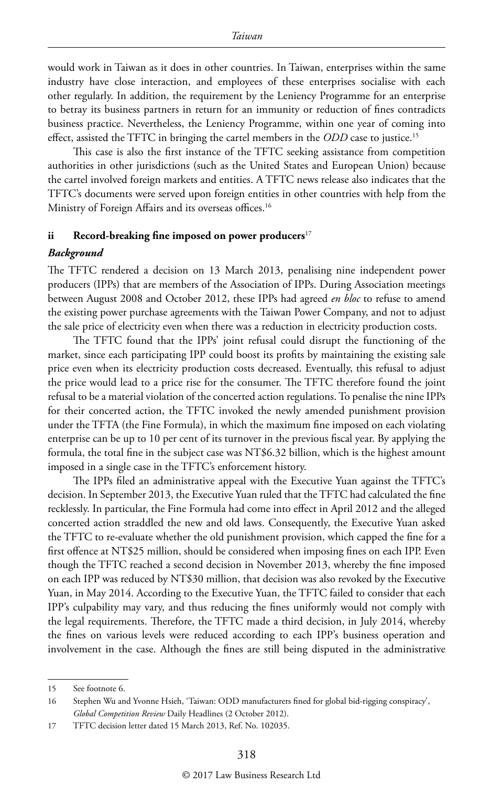would work in Taiwan as it does in other countries. In Taiwan, enterprises within the same industry have close interaction, and employees of these enterprises socialise with each other regularly. In addition, the requirement by the Leniency Programme for an enterprise to betray its business partners in return for an immunity or reduction of fines contradicts business practice. Nevertheless, the Leniency Programme, within one year of coming into effect, assisted the TFTC in bringing the cartel members in the *ODD* case to justice.15

This case is also the first instance of the TFTC seeking assistance from competition authorities in other jurisdictions (such as the United States and European Union) because the cartel involved foreign markets and entities. A TFTC news release also indicates that the TFTC's documents were served upon foreign entities in other countries with help from the Ministry of Foreign Affairs and its overseas offices.<sup>16</sup>

#### **ii Record-breaking fine imposed on power producers**<sup>17</sup>

#### *Background*

The TFTC rendered a decision on 13 March 2013, penalising nine independent power producers (IPPs) that are members of the Association of IPPs. During Association meetings between August 2008 and October 2012, these IPPs had agreed *en bloc* to refuse to amend the existing power purchase agreements with the Taiwan Power Company, and not to adjust the sale price of electricity even when there was a reduction in electricity production costs.

The TFTC found that the IPPs' joint refusal could disrupt the functioning of the market, since each participating IPP could boost its profits by maintaining the existing sale price even when its electricity production costs decreased. Eventually, this refusal to adjust the price would lead to a price rise for the consumer. The TFTC therefore found the joint refusal to be a material violation of the concerted action regulations. To penalise the nine IPPs for their concerted action, the TFTC invoked the newly amended punishment provision under the TFTA (the Fine Formula), in which the maximum fine imposed on each violating enterprise can be up to 10 per cent of its turnover in the previous fiscal year. By applying the formula, the total fine in the subject case was NT\$6.32 billion, which is the highest amount imposed in a single case in the TFTC's enforcement history.

The IPPs filed an administrative appeal with the Executive Yuan against the TFTC's decision. In September 2013, the Executive Yuan ruled that the TFTC had calculated the fine recklessly. In particular, the Fine Formula had come into effect in April 2012 and the alleged concerted action straddled the new and old laws. Consequently, the Executive Yuan asked the TFTC to re-evaluate whether the old punishment provision, which capped the fine for a first offence at NT\$25 million, should be considered when imposing fines on each IPP. Even though the TFTC reached a second decision in November 2013, whereby the fine imposed on each IPP was reduced by NT\$30 million, that decision was also revoked by the Executive Yuan, in May 2014. According to the Executive Yuan, the TFTC failed to consider that each IPP's culpability may vary, and thus reducing the fines uniformly would not comply with the legal requirements. Therefore, the TFTC made a third decision, in July 2014, whereby the fines on various levels were reduced according to each IPP's business operation and involvement in the case. Although the fines are still being disputed in the administrative

<sup>15</sup> See footnote 6.

<sup>16</sup> Stephen Wu and Yvonne Hsieh, 'Taiwan: ODD manufacturers fined for global bid-rigging conspiracy', *Global Competition Review* Daily Headlines (2 October 2012).

<sup>17</sup> TFTC decision letter dated 15 March 2013, Ref. No. 102035.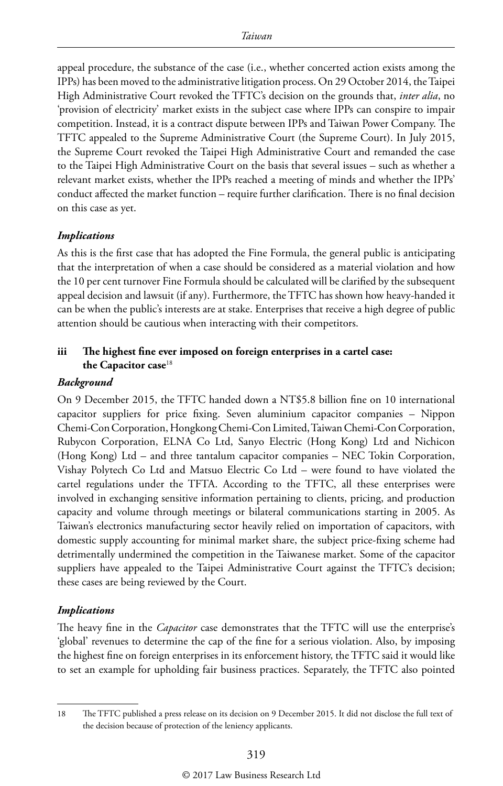appeal procedure, the substance of the case (i.e., whether concerted action exists among the IPPs) has been moved to the administrative litigation process. On 29 October 2014, the Taipei High Administrative Court revoked the TFTC's decision on the grounds that, *inter alia*, no 'provision of electricity' market exists in the subject case where IPPs can conspire to impair competition. Instead, it is a contract dispute between IPPs and Taiwan Power Company. The TFTC appealed to the Supreme Administrative Court (the Supreme Court). In July 2015, the Supreme Court revoked the Taipei High Administrative Court and remanded the case to the Taipei High Administrative Court on the basis that several issues – such as whether a relevant market exists, whether the IPPs reached a meeting of minds and whether the IPPs' conduct affected the market function – require further clarification. There is no final decision on this case as yet.

#### *Implications*

As this is the first case that has adopted the Fine Formula, the general public is anticipating that the interpretation of when a case should be considered as a material violation and how the 10 per cent turnover Fine Formula should be calculated will be clarified by the subsequent appeal decision and lawsuit (if any). Furthermore, the TFTC has shown how heavy-handed it can be when the public's interests are at stake. Enterprises that receive a high degree of public attention should be cautious when interacting with their competitors.

#### **iii The highest fine ever imposed on foreign enterprises in a cartel case: the Capacitor case**<sup>18</sup>

#### *Background*

On 9 December 2015, the TFTC handed down a NT\$5.8 billion fine on 10 international capacitor suppliers for price fixing. Seven aluminium capacitor companies – Nippon Chemi-Con Corporation, Hongkong Chemi-Con Limited, Taiwan Chemi-Con Corporation, Rubycon Corporation, ELNA Co Ltd, Sanyo Electric (Hong Kong) Ltd and Nichicon (Hong Kong) Ltd – and three tantalum capacitor companies – NEC Tokin Corporation, Vishay Polytech Co Ltd and Matsuo Electric Co Ltd – were found to have violated the cartel regulations under the TFTA. According to the TFTC, all these enterprises were involved in exchanging sensitive information pertaining to clients, pricing, and production capacity and volume through meetings or bilateral communications starting in 2005. As Taiwan's electronics manufacturing sector heavily relied on importation of capacitors, with domestic supply accounting for minimal market share, the subject price-fixing scheme had detrimentally undermined the competition in the Taiwanese market. Some of the capacitor suppliers have appealed to the Taipei Administrative Court against the TFTC's decision; these cases are being reviewed by the Court.

#### *Implications*

The heavy fine in the *Capacitor* case demonstrates that the TFTC will use the enterprise's 'global' revenues to determine the cap of the fine for a serious violation. Also, by imposing the highest fine on foreign enterprises in its enforcement history, the TFTC said it would like to set an example for upholding fair business practices. Separately, the TFTC also pointed

<sup>18</sup> The TFTC published a press release on its decision on 9 December 2015. It did not disclose the full text of the decision because of protection of the leniency applicants.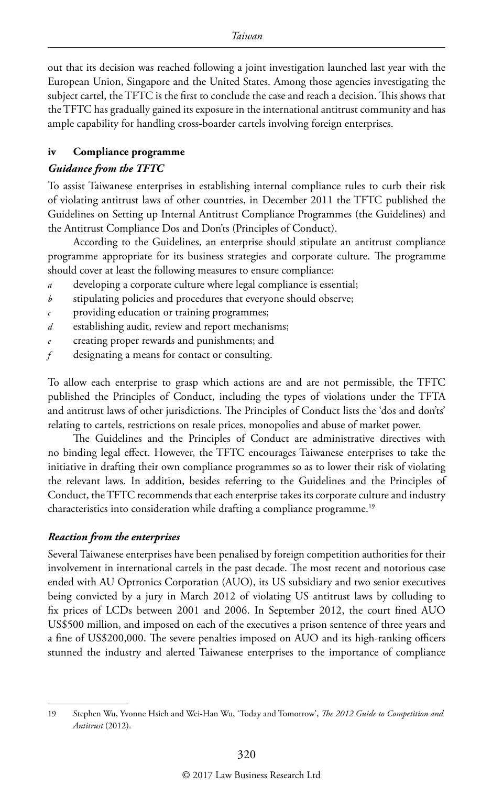out that its decision was reached following a joint investigation launched last year with the European Union, Singapore and the United States. Among those agencies investigating the subject cartel, the TFTC is the first to conclude the case and reach a decision. This shows that the TFTC has gradually gained its exposure in the international antitrust community and has ample capability for handling cross-boarder cartels involving foreign enterprises.

#### **iv Compliance programme**

#### *Guidance from the TFTC*

To assist Taiwanese enterprises in establishing internal compliance rules to curb their risk of violating antitrust laws of other countries, in December 2011 the TFTC published the Guidelines on Setting up Internal Antitrust Compliance Programmes (the Guidelines) and the Antitrust Compliance Dos and Don'ts (Principles of Conduct).

According to the Guidelines, an enterprise should stipulate an antitrust compliance programme appropriate for its business strategies and corporate culture. The programme should cover at least the following measures to ensure compliance:

- *a* developing a corporate culture where legal compliance is essential;
- *b* stipulating policies and procedures that everyone should observe;
- *c* providing education or training programmes;
- *d* establishing audit, review and report mechanisms;
- *e* creating proper rewards and punishments; and
- *f* designating a means for contact or consulting.

To allow each enterprise to grasp which actions are and are not permissible, the TFTC published the Principles of Conduct, including the types of violations under the TFTA and antitrust laws of other jurisdictions. The Principles of Conduct lists the 'dos and don'ts' relating to cartels, restrictions on resale prices, monopolies and abuse of market power.

The Guidelines and the Principles of Conduct are administrative directives with no binding legal effect. However, the TFTC encourages Taiwanese enterprises to take the initiative in drafting their own compliance programmes so as to lower their risk of violating the relevant laws. In addition, besides referring to the Guidelines and the Principles of Conduct, the TFTC recommends that each enterprise takes its corporate culture and industry characteristics into consideration while drafting a compliance programme.<sup>19</sup>

#### *Reaction from the enterprises*

Several Taiwanese enterprises have been penalised by foreign competition authorities for their involvement in international cartels in the past decade. The most recent and notorious case ended with AU Optronics Corporation (AUO), its US subsidiary and two senior executives being convicted by a jury in March 2012 of violating US antitrust laws by colluding to fix prices of LCDs between 2001 and 2006. In September 2012, the court fined AUO US\$500 million, and imposed on each of the executives a prison sentence of three years and a fine of US\$200,000. The severe penalties imposed on AUO and its high-ranking officers stunned the industry and alerted Taiwanese enterprises to the importance of compliance

<sup>19</sup> Stephen Wu, Yvonne Hsieh and Wei-Han Wu, 'Today and Tomorrow', *The 2012 Guide to Competition and Antitrust* (2012).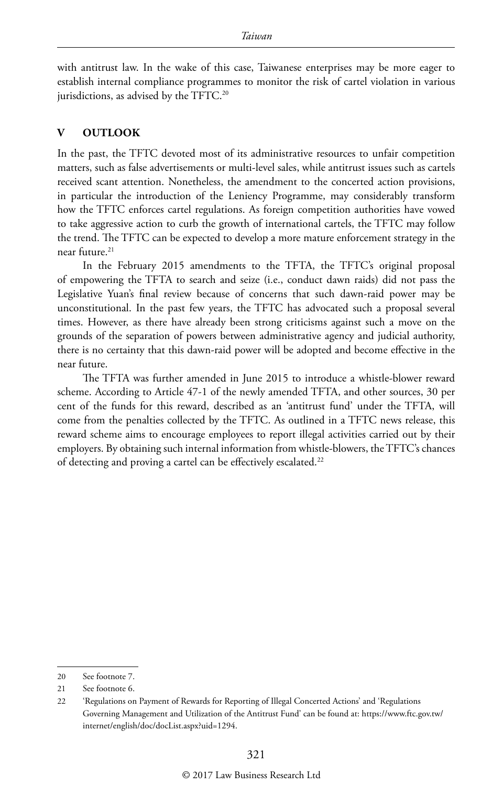with antitrust law. In the wake of this case, Taiwanese enterprises may be more eager to establish internal compliance programmes to monitor the risk of cartel violation in various jurisdictions, as advised by the TFTC.<sup>20</sup>

#### **V OUTLOOK**

In the past, the TFTC devoted most of its administrative resources to unfair competition matters, such as false advertisements or multi-level sales, while antitrust issues such as cartels received scant attention. Nonetheless, the amendment to the concerted action provisions, in particular the introduction of the Leniency Programme, may considerably transform how the TFTC enforces cartel regulations. As foreign competition authorities have vowed to take aggressive action to curb the growth of international cartels, the TFTC may follow the trend. The TFTC can be expected to develop a more mature enforcement strategy in the near future.<sup>21</sup>

In the February 2015 amendments to the TFTA, the TFTC's original proposal of empowering the TFTA to search and seize (i.e., conduct dawn raids) did not pass the Legislative Yuan's final review because of concerns that such dawn-raid power may be unconstitutional. In the past few years, the TFTC has advocated such a proposal several times. However, as there have already been strong criticisms against such a move on the grounds of the separation of powers between administrative agency and judicial authority, there is no certainty that this dawn-raid power will be adopted and become effective in the near future.

The TFTA was further amended in June 2015 to introduce a whistle-blower reward scheme. According to Article 47-1 of the newly amended TFTA, and other sources, 30 per cent of the funds for this reward, described as an 'antitrust fund' under the TFTA, will come from the penalties collected by the TFTC. As outlined in a TFTC news release, this reward scheme aims to encourage employees to report illegal activities carried out by their employers. By obtaining such internal information from whistle-blowers, the TFTC's chances of detecting and proving a cartel can be effectively escalated.<sup>22</sup>

<sup>20</sup> See footnote 7.

<sup>21</sup> See footnote 6.

<sup>22</sup> 'Regulations on Payment of Rewards for Reporting of Illegal Concerted Actions' and 'Regulations Governing Management and Utilization of the Antitrust Fund' can be found at: https://www.ftc.gov.tw/ internet/english/doc/docList.aspx?uid=1294.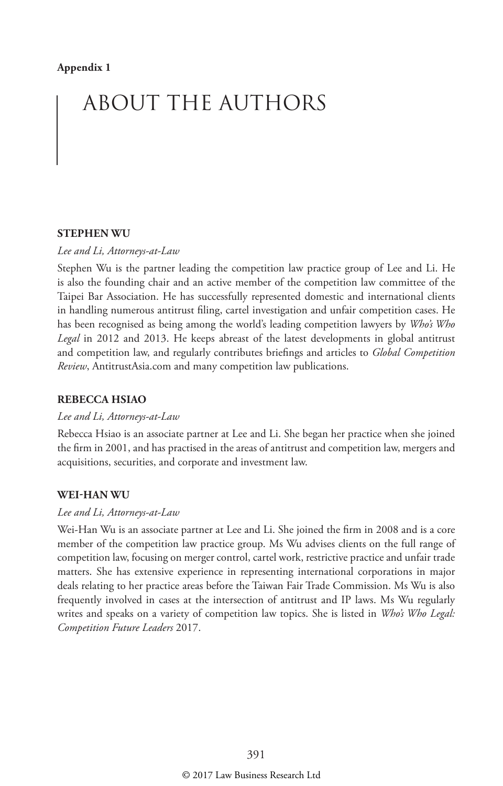# ABOUT THE AUTHORS

#### **STEPHEN WU**

#### *Lee and Li, Attorneys-at-Law*

Stephen Wu is the partner leading the competition law practice group of Lee and Li. He is also the founding chair and an active member of the competition law committee of the Taipei Bar Association. He has successfully represented domestic and international clients in handling numerous antitrust filing, cartel investigation and unfair competition cases. He has been recognised as being among the world's leading competition lawyers by *Who's Who Legal* in 2012 and 2013. He keeps abreast of the latest developments in global antitrust and competition law, and regularly contributes briefings and articles to *Global Competition Review*, AntitrustAsia.com and many competition law publications.

#### **REBECCA HSIAO**

#### *Lee and Li, Attorneys-at-Law*

Rebecca Hsiao is an associate partner at Lee and Li. She began her practice when she joined the firm in 2001, and has practised in the areas of antitrust and competition law, mergers and acquisitions, securities, and corporate and investment law.

#### **WEI-HAN WU**

#### *Lee and Li, Attorneys-at-Law*

Wei-Han Wu is an associate partner at Lee and Li. She joined the firm in 2008 and is a core member of the competition law practice group. Ms Wu advises clients on the full range of competition law, focusing on merger control, cartel work, restrictive practice and unfair trade matters. She has extensive experience in representing international corporations in major deals relating to her practice areas before the Taiwan Fair Trade Commission. Ms Wu is also frequently involved in cases at the intersection of antitrust and IP laws. Ms Wu regularly writes and speaks on a variety of competition law topics. She is listed in *Who's Who Legal: Competition Future Leaders* 2017.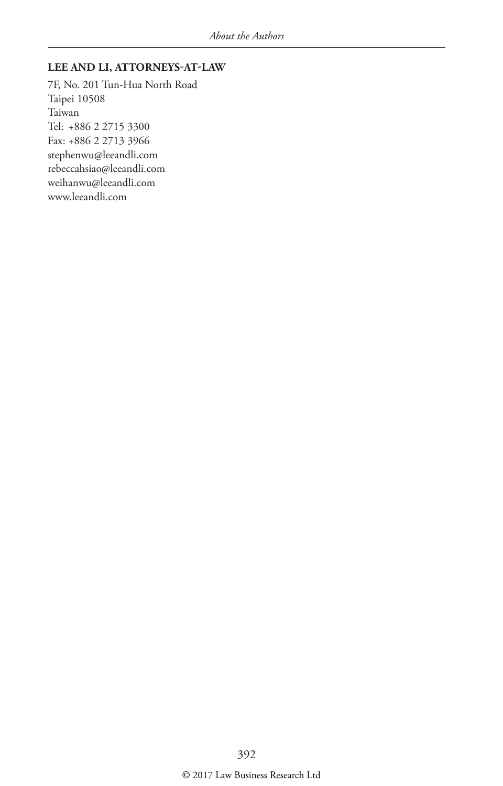#### **LEE AND LI, ATTORNEYS-AT-LAW**

7F, No. 201 Tun-Hua North Road Taipei 10508 Taiwan Tel: +886 2 2715 3300 Fax: +886 2 2713 3966 stephenwu@leeandli.com rebeccahsiao@leeandli.com weihanwu@leeandli.com www.leeandli.com